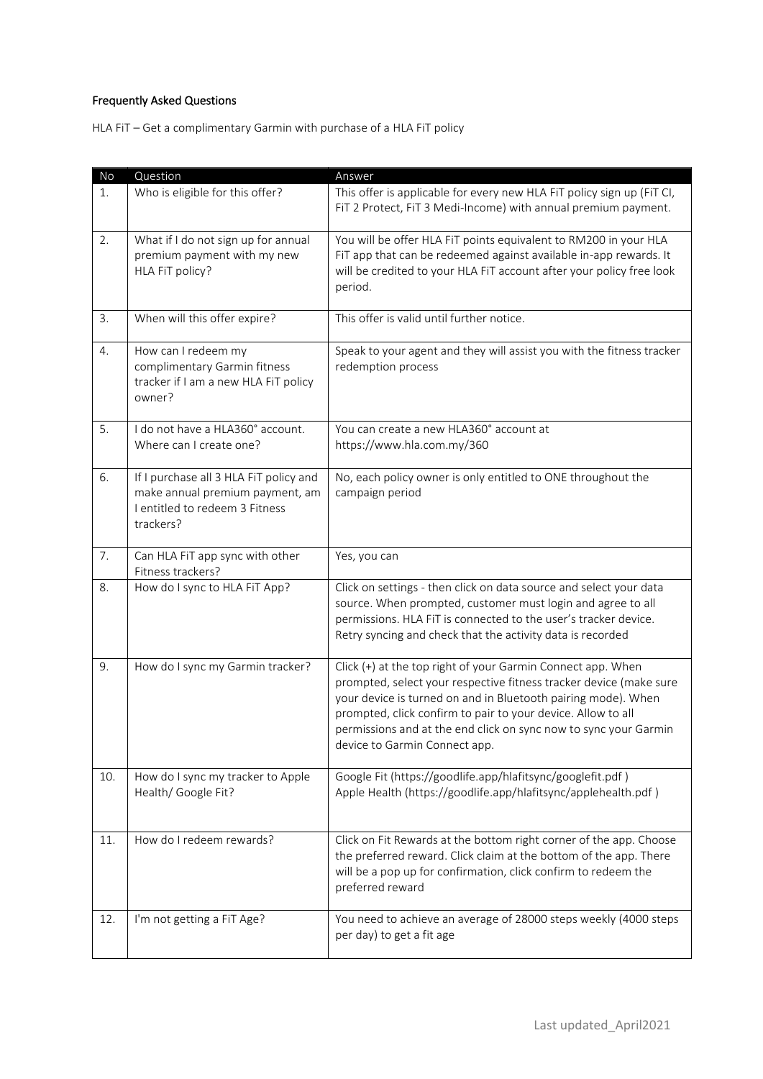## Frequently Asked Questions

HLA FiT – Get a complimentary Garmin with purchase of a HLA FiT policy

| No  | Question                                                                                                                 | Answer                                                                                                                                                                                                                                                                                                                                                                  |
|-----|--------------------------------------------------------------------------------------------------------------------------|-------------------------------------------------------------------------------------------------------------------------------------------------------------------------------------------------------------------------------------------------------------------------------------------------------------------------------------------------------------------------|
| 1.  | Who is eligible for this offer?                                                                                          | This offer is applicable for every new HLA FiT policy sign up (FiT CI,<br>FiT 2 Protect, FiT 3 Medi-Income) with annual premium payment.                                                                                                                                                                                                                                |
| 2.  | What if I do not sign up for annual<br>premium payment with my new<br>HLA FiT policy?                                    | You will be offer HLA FiT points equivalent to RM200 in your HLA<br>FiT app that can be redeemed against available in-app rewards. It<br>will be credited to your HLA FiT account after your policy free look<br>period.                                                                                                                                                |
| 3.  | When will this offer expire?                                                                                             | This offer is valid until further notice.                                                                                                                                                                                                                                                                                                                               |
| 4.  | How can I redeem my<br>complimentary Garmin fitness<br>tracker if I am a new HLA FiT policy<br>owner?                    | Speak to your agent and they will assist you with the fitness tracker<br>redemption process                                                                                                                                                                                                                                                                             |
| 5.  | I do not have a HLA360° account.<br>Where can I create one?                                                              | You can create a new HLA360° account at<br>https://www.hla.com.my/360                                                                                                                                                                                                                                                                                                   |
| 6.  | If I purchase all 3 HLA FiT policy and<br>make annual premium payment, am<br>I entitled to redeem 3 Fitness<br>trackers? | No, each policy owner is only entitled to ONE throughout the<br>campaign period                                                                                                                                                                                                                                                                                         |
| 7.  | Can HLA FiT app sync with other<br>Fitness trackers?                                                                     | Yes, you can                                                                                                                                                                                                                                                                                                                                                            |
| 8.  | How do I sync to HLA FiT App?                                                                                            | Click on settings - then click on data source and select your data<br>source. When prompted, customer must login and agree to all<br>permissions. HLA FiT is connected to the user's tracker device.<br>Retry syncing and check that the activity data is recorded                                                                                                      |
| 9.  | How do I sync my Garmin tracker?                                                                                         | Click (+) at the top right of your Garmin Connect app. When<br>prompted, select your respective fitness tracker device (make sure<br>your device is turned on and in Bluetooth pairing mode). When<br>prompted, click confirm to pair to your device. Allow to all<br>permissions and at the end click on sync now to sync your Garmin<br>device to Garmin Connect app. |
| 10. | How do I sync my tracker to Apple<br>Health/ Google Fit?                                                                 | Google Fit (https://goodlife.app/hlafitsync/googlefit.pdf)<br>Apple Health (https://goodlife.app/hlafitsync/applehealth.pdf)                                                                                                                                                                                                                                            |
| 11. | How do I redeem rewards?                                                                                                 | Click on Fit Rewards at the bottom right corner of the app. Choose<br>the preferred reward. Click claim at the bottom of the app. There<br>will be a pop up for confirmation, click confirm to redeem the<br>preferred reward                                                                                                                                           |
| 12. | I'm not getting a FiT Age?                                                                                               | You need to achieve an average of 28000 steps weekly (4000 steps<br>per day) to get a fit age                                                                                                                                                                                                                                                                           |